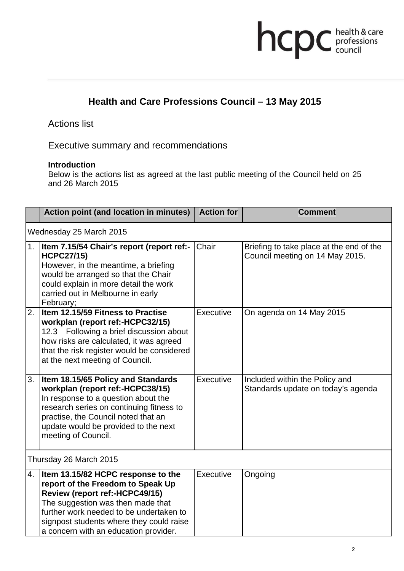# hcpc health & care

# **Health and Care Professions Council – 13 May 2015**

## Actions list

Executive summary and recommendations

#### **Introduction**

Below is the actions list as agreed at the last public meeting of the Council held on 25 and 26 March 2015

|                         | <b>Action point (and location in minutes)</b>                                                                                                                                                                                                                                  | <b>Action for</b> | <b>Comment</b>                                                              |  |
|-------------------------|--------------------------------------------------------------------------------------------------------------------------------------------------------------------------------------------------------------------------------------------------------------------------------|-------------------|-----------------------------------------------------------------------------|--|
| Wednesday 25 March 2015 |                                                                                                                                                                                                                                                                                |                   |                                                                             |  |
| 1.                      | Item 7.15/54 Chair's report (report ref:-<br><b>HCPC27/15)</b><br>However, in the meantime, a briefing<br>would be arranged so that the Chair<br>could explain in more detail the work<br>carried out in Melbourne in early<br>February;                                       | Chair             | Briefing to take place at the end of the<br>Council meeting on 14 May 2015. |  |
| 2.                      | Item 12.15/59 Fitness to Practise<br>workplan (report ref:-HCPC32/15)<br>12.3 Following a brief discussion about<br>how risks are calculated, it was agreed<br>that the risk register would be considered<br>at the next meeting of Council.                                   | Executive         | On agenda on 14 May 2015                                                    |  |
| 3.                      | Item 18.15/65 Policy and Standards<br>workplan (report ref:-HCPC38/15)<br>In response to a question about the<br>research series on continuing fitness to<br>practise, the Council noted that an<br>update would be provided to the next<br>meeting of Council.                | Executive         | Included within the Policy and<br>Standards update on today's agenda        |  |
| Thursday 26 March 2015  |                                                                                                                                                                                                                                                                                |                   |                                                                             |  |
| 4.                      | Item 13.15/82 HCPC response to the<br>report of the Freedom to Speak Up<br>Review (report ref:-HCPC49/15)<br>The suggestion was then made that<br>further work needed to be undertaken to<br>signpost students where they could raise<br>a concern with an education provider. | Executive         | Ongoing                                                                     |  |